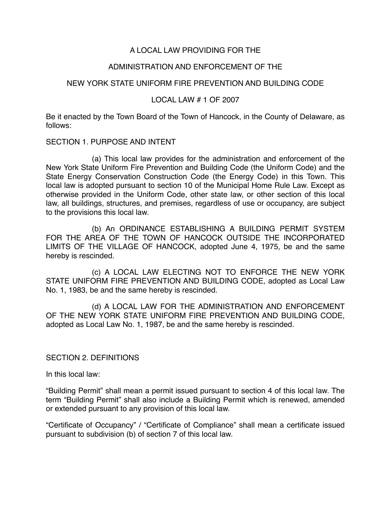# A LOCAL LAW PROVIDING FOR THE

# ADMINISTRATION AND ENFORCEMENT OF THE

# NEW YORK STATE UNIFORM FIRE PREVENTION AND BUILDING CODE

## LOCAL LAW # 1 OF 2007

Be it enacted by the Town Board of the Town of Hancock, in the County of Delaware, as follows:

#### SECTION 1. PURPOSE AND INTENT

 (a) This local law provides for the administration and enforcement of the New York State Uniform Fire Prevention and Building Code (the Uniform Code) and the State Energy Conservation Construction Code (the Energy Code) in this Town. This local law is adopted pursuant to section 10 of the Municipal Home Rule Law. Except as otherwise provided in the Uniform Code, other state law, or other section of this local law, all buildings, structures, and premises, regardless of use or occupancy, are subject to the provisions this local law.

(b) An ORDINANCE ESTABLISHING A BUILDING PERMIT SYSTEM FOR THE AREA OF THE TOWN OF HANCOCK OUTSIDE THE INCORPORATED LIMITS OF THE VILLAGE OF HANCOCK, adopted June 4, 1975, be and the same hereby is rescinded.

(c) A LOCAL LAW ELECTING NOT TO ENFORCE THE NEW YORK STATE UNIFORM FIRE PREVENTION AND BUILDING CODE, adopted as Local Law No. 1, 1983, be and the same hereby is rescinded.

(d) A LOCAL LAW FOR THE ADMINISTRATION AND ENFORCEMENT OF THE NEW YORK STATE UNIFORM FIRE PREVENTION AND BUILDING CODE, adopted as Local Law No. 1, 1987, be and the same hereby is rescinded.

## SECTION 2. DEFINITIONS

In this local law:

"Building Permit" shall mean a permit issued pursuant to section 4 of this local law. The term "Building Permit" shall also include a Building Permit which is renewed, amended or extended pursuant to any provision of this local law.

"Certificate of Occupancy" / "Certificate of Compliance" shall mean a certificate issued pursuant to subdivision (b) of section 7 of this local law.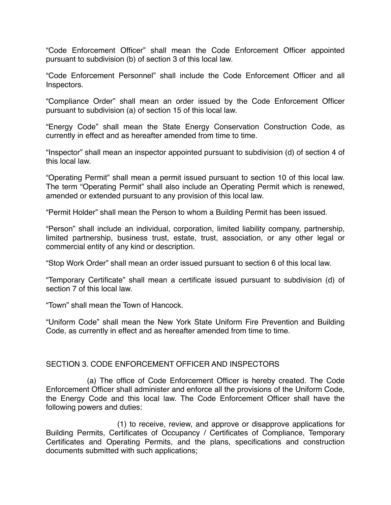"Code Enforcement Officer" shall mean the Code Enforcement Officer appointed pursuant to subdivision (b) of section 3 of this local law.

"Code Enforcement Personnel" shall include the Code Enforcement Officer and all Inspectors.

"Compliance Order" shall mean an order issued by the Code Enforcement Officer pursuant to subdivision (a) of section 15 of this local law.

"Energy Code" shall mean the State Energy Conservation Construction Code, as currently in effect and as hereafter amended from time to time.

"Inspector" shall mean an inspector appointed pursuant to subdivision (d) of section 4 of this local law.

"Operating Permit" shall mean a permit issued pursuant to section 10 of this local law. The term "Operating Permit" shall also include an Operating Permit which is renewed, amended or extended pursuant to any provision of this local law.

"Permit Holder" shall mean the Person to whom a Building Permit has been issued.

"Person" shall include an individual, corporation, limited liability company, partnership, limited partnership, business trust, estate, trust, association, or any other legal or commercial entity of any kind or description.

"Stop Work Order" shall mean an order issued pursuant to section 6 of this local law.

"Temporary Certificate" shall mean a certificate issued pursuant to subdivision (d) of section 7 of this local law

"Town" shall mean the Town of Hancock.

"Uniform Code" shall mean the New York State Uniform Fire Prevention and Building Code, as currently in effect and as hereafter amended from time to time.

## SECTION 3. CODE ENFORCEMENT OFFICER AND INSPECTORS

(a) The office of Code Enforcement Officer is hereby created. The Code Enforcement Officer shall administer and enforce all the provisions of the Uniform Code, the Energy Code and this local law. The Code Enforcement Officer shall have the following powers and duties:

(1) to receive, review, and approve or disapprove applications for Building Permits, Certificates of Occupancy / Certificates of Compliance, Temporary Certificates and Operating Permits, and the plans, specifications and construction documents submitted with such applications;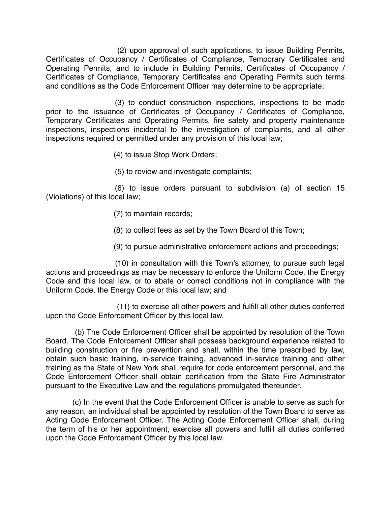(2) upon approval of such applications, to issue Building Permits, Certificates of Occupancy / Certificates of Compliance, Temporary Certificates and Operating Permits, and to include in Building Permits, Certificates of Occupancy / Certificates of Compliance, Temporary Certificates and Operating Permits such terms and conditions as the Code Enforcement Officer may determine to be appropriate;

 (3) to conduct construction inspections, inspections to be made prior to the issuance of Certificates of Occupancy / Certificates of Compliance, Temporary Certificates and Operating Permits, fire safety and property maintenance inspections, inspections incidental to the investigation of complaints, and all other inspections required or permitted under any provision of this local law;

(4) to issue Stop Work Orders;

(5) to review and investigate complaints;

 (6) to issue orders pursuant to subdivision (a) of section 15 (Violations) of this local law;

- (7) to maintain records;
- (8) to collect fees as set by the Town Board of this Town;
- (9) to pursue administrative enforcement actions and proceedings;

(10) in consultation with this Town's attorney, to pursue such legal actions and proceedings as may be necessary to enforce the Uniform Code, the Energy Code and this local law, or to abate or correct conditions not in compliance with the Uniform Code, the Energy Code or this local law; and

(11) to exercise all other powers and fulfill all other duties conferred upon the Code Enforcement Officer by this local law.

(b) The Code Enforcement Officer shall be appointed by resolution of the Town Board. The Code Enforcement Officer shall possess background experience related to building construction or fire prevention and shall, within the time prescribed by law, obtain such basic training, in-service training, advanced in-service training and other training as the State of New York shall require for code enforcement personnel, and the Code Enforcement Officer shall obtain certification from the State Fire Administrator pursuant to the Executive Law and the regulations promulgated thereunder.

(c) In the event that the Code Enforcement Officer is unable to serve as such for any reason, an individual shall be appointed by resolution of the Town Board to serve as Acting Code Enforcement Officer. The Acting Code Enforcement Officer shall, during the term of his or her appointment, exercise all powers and fulfill all duties conferred upon the Code Enforcement Officer by this local law.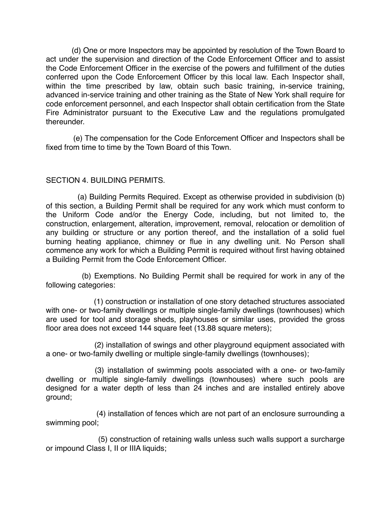(d) One or more Inspectors may be appointed by resolution of the Town Board to act under the supervision and direction of the Code Enforcement Officer and to assist the Code Enforcement Officer in the exercise of the powers and fulfillment of the duties conferred upon the Code Enforcement Officer by this local law. Each Inspector shall, within the time prescribed by law, obtain such basic training, in-service training, advanced in-service training and other training as the State of New York shall require for code enforcement personnel, and each Inspector shall obtain certification from the State Fire Administrator pursuant to the Executive Law and the regulations promulgated thereunder.

(e) The compensation for the Code Enforcement Officer and Inspectors shall be fixed from time to time by the Town Board of this Town.

## SECTION 4. BUILDING PERMITS.

(a) Building Permits Required. Except as otherwise provided in subdivision (b) of this section, a Building Permit shall be required for any work which must conform to the Uniform Code and/or the Energy Code, including, but not limited to, the construction, enlargement, alteration, improvement, removal, relocation or demolition of any building or structure or any portion thereof, and the installation of a solid fuel burning heating appliance, chimney or flue in any dwelling unit. No Person shall commence any work for which a Building Permit is required without first having obtained a Building Permit from the Code Enforcement Officer.

(b) Exemptions. No Building Permit shall be required for work in any of the following categories:

(1) construction or installation of one story detached structures associated with one- or two-family dwellings or multiple single-family dwellings (townhouses) which are used for tool and storage sheds, playhouses or similar uses, provided the gross floor area does not exceed 144 square feet (13.88 square meters);

(2) installation of swings and other playground equipment associated with a one- or two-family dwelling or multiple single-family dwellings (townhouses);

 (3) installation of swimming pools associated with a one- or two-family dwelling or multiple single-family dwellings (townhouses) where such pools are designed for a water depth of less than 24 inches and are installed entirely above ground;

(4) installation of fences which are not part of an enclosure surrounding a swimming pool;

(5) construction of retaining walls unless such walls support a surcharge or impound Class I, II or IIIA liquids;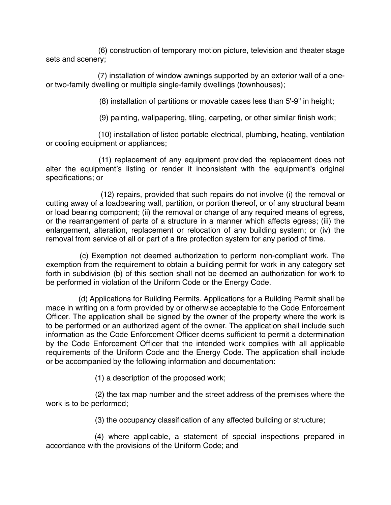(6) construction of temporary motion picture, television and theater stage sets and scenery;

(7) installation of window awnings supported by an exterior wall of a oneor two-family dwelling or multiple single-family dwellings (townhouses);

(8) installation of partitions or movable cases less than 5'-9" in height;

(9) painting, wallpapering, tiling, carpeting, or other similar finish work;

(10) installation of listed portable electrical, plumbing, heating, ventilation or cooling equipment or appliances;

(11) replacement of any equipment provided the replacement does not alter the equipment's listing or render it inconsistent with the equipment's original specifications; or

(12) repairs, provided that such repairs do not involve (i) the removal or cutting away of a loadbearing wall, partition, or portion thereof, or of any structural beam or load bearing component; (ii) the removal or change of any required means of egress, or the rearrangement of parts of a structure in a manner which affects egress; (iii) the enlargement, alteration, replacement or relocation of any building system; or (iv) the removal from service of all or part of a fire protection system for any period of time.

(c) Exemption not deemed authorization to perform non-compliant work. The exemption from the requirement to obtain a building permit for work in any category set forth in subdivision (b) of this section shall not be deemed an authorization for work to be performed in violation of the Uniform Code or the Energy Code.

(d) Applications for Building Permits. Applications for a Building Permit shall be made in writing on a form provided by or otherwise acceptable to the Code Enforcement Officer. The application shall be signed by the owner of the property where the work is to be performed or an authorized agent of the owner. The application shall include such information as the Code Enforcement Officer deems sufficient to permit a determination by the Code Enforcement Officer that the intended work complies with all applicable requirements of the Uniform Code and the Energy Code. The application shall include or be accompanied by the following information and documentation:

(1) a description of the proposed work;

(2) the tax map number and the street address of the premises where the work is to be performed;

(3) the occupancy classification of any affected building or structure;

(4) where applicable, a statement of special inspections prepared in accordance with the provisions of the Uniform Code; and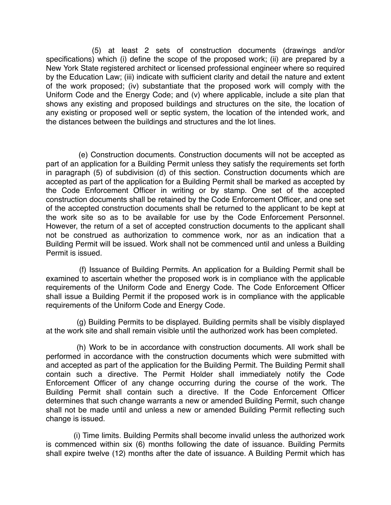(5) at least 2 sets of construction documents (drawings and/or specifications) which (i) define the scope of the proposed work; (ii) are prepared by a New York State registered architect or licensed professional engineer where so required by the Education Law; (iii) indicate with sufficient clarity and detail the nature and extent of the work proposed; (iv) substantiate that the proposed work will comply with the Uniform Code and the Energy Code; and (v) where applicable, include a site plan that shows any existing and proposed buildings and structures on the site, the location of any existing or proposed well or septic system, the location of the intended work, and the distances between the buildings and structures and the lot lines.

(e) Construction documents. Construction documents will not be accepted as part of an application for a Building Permit unless they satisfy the requirements set forth in paragraph (5) of subdivision (d) of this section. Construction documents which are accepted as part of the application for a Building Permit shall be marked as accepted by the Code Enforcement Officer in writing or by stamp. One set of the accepted construction documents shall be retained by the Code Enforcement Officer, and one set of the accepted construction documents shall be returned to the applicant to be kept at the work site so as to be available for use by the Code Enforcement Personnel. However, the return of a set of accepted construction documents to the applicant shall not be construed as authorization to commence work, nor as an indication that a Building Permit will be issued. Work shall not be commenced until and unless a Building Permit is issued.

(f) Issuance of Building Permits. An application for a Building Permit shall be examined to ascertain whether the proposed work is in compliance with the applicable requirements of the Uniform Code and Energy Code. The Code Enforcement Officer shall issue a Building Permit if the proposed work is in compliance with the applicable requirements of the Uniform Code and Energy Code.

(g) Building Permits to be displayed. Building permits shall be visibly displayed at the work site and shall remain visible until the authorized work has been completed.

(h) Work to be in accordance with construction documents. All work shall be performed in accordance with the construction documents which were submitted with and accepted as part of the application for the Building Permit. The Building Permit shall contain such a directive. The Permit Holder shall immediately notify the Code Enforcement Officer of any change occurring during the course of the work. The Building Permit shall contain such a directive. If the Code Enforcement Officer determines that such change warrants a new or amended Building Permit, such change shall not be made until and unless a new or amended Building Permit reflecting such change is issued.

(i) Time limits. Building Permits shall become invalid unless the authorized work is commenced within six (6) months following the date of issuance. Building Permits shall expire twelve (12) months after the date of issuance. A Building Permit which has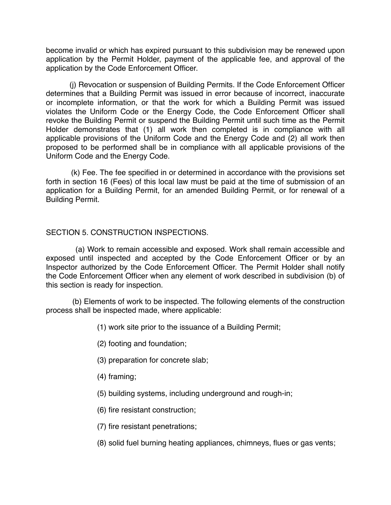become invalid or which has expired pursuant to this subdivision may be renewed upon application by the Permit Holder, payment of the applicable fee, and approval of the application by the Code Enforcement Officer.

(j) Revocation or suspension of Building Permits. If the Code Enforcement Officer determines that a Building Permit was issued in error because of incorrect, inaccurate or incomplete information, or that the work for which a Building Permit was issued violates the Uniform Code or the Energy Code, the Code Enforcement Officer shall revoke the Building Permit or suspend the Building Permit until such time as the Permit Holder demonstrates that (1) all work then completed is in compliance with all applicable provisions of the Uniform Code and the Energy Code and (2) all work then proposed to be performed shall be in compliance with all applicable provisions of the Uniform Code and the Energy Code.

(k) Fee. The fee specified in or determined in accordance with the provisions set forth in section 16 (Fees) of this local law must be paid at the time of submission of an application for a Building Permit, for an amended Building Permit, or for renewal of a Building Permit.

## SECTION 5. CONSTRUCTION INSPECTIONS.

(a) Work to remain accessible and exposed. Work shall remain accessible and exposed until inspected and accepted by the Code Enforcement Officer or by an Inspector authorized by the Code Enforcement Officer. The Permit Holder shall notify the Code Enforcement Officer when any element of work described in subdivision (b) of this section is ready for inspection.

(b) Elements of work to be inspected. The following elements of the construction process shall be inspected made, where applicable:

- (1) work site prior to the issuance of a Building Permit;
- (2) footing and foundation;
- (3) preparation for concrete slab;
- (4) framing;
- (5) building systems, including underground and rough-in;
- (6) fire resistant construction;
- (7) fire resistant penetrations;
- (8) solid fuel burning heating appliances, chimneys, flues or gas vents;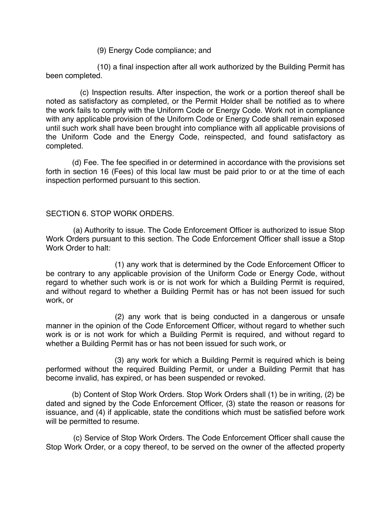(9) Energy Code compliance; and

(10) a final inspection after all work authorized by the Building Permit has been completed.

(c) Inspection results. After inspection, the work or a portion thereof shall be noted as satisfactory as completed, or the Permit Holder shall be notified as to where the work fails to comply with the Uniform Code or Energy Code. Work not in compliance with any applicable provision of the Uniform Code or Energy Code shall remain exposed until such work shall have been brought into compliance with all applicable provisions of the Uniform Code and the Energy Code, reinspected, and found satisfactory as completed.

(d) Fee. The fee specified in or determined in accordance with the provisions set forth in section 16 (Fees) of this local law must be paid prior to or at the time of each inspection performed pursuant to this section.

## SECTION 6. STOP WORK ORDERS.

(a) Authority to issue. The Code Enforcement Officer is authorized to issue Stop Work Orders pursuant to this section. The Code Enforcement Officer shall issue a Stop Work Order to halt:

 (1) any work that is determined by the Code Enforcement Officer to be contrary to any applicable provision of the Uniform Code or Energy Code, without regard to whether such work is or is not work for which a Building Permit is required, and without regard to whether a Building Permit has or has not been issued for such work, or

 (2) any work that is being conducted in a dangerous or unsafe manner in the opinion of the Code Enforcement Officer, without regard to whether such work is or is not work for which a Building Permit is required, and without regard to whether a Building Permit has or has not been issued for such work, or

(3) any work for which a Building Permit is required which is being performed without the required Building Permit, or under a Building Permit that has become invalid, has expired, or has been suspended or revoked.

(b) Content of Stop Work Orders. Stop Work Orders shall (1) be in writing, (2) be dated and signed by the Code Enforcement Officer, (3) state the reason or reasons for issuance, and (4) if applicable, state the conditions which must be satisfied before work will be permitted to resume.

(c) Service of Stop Work Orders. The Code Enforcement Officer shall cause the Stop Work Order, or a copy thereof, to be served on the owner of the affected property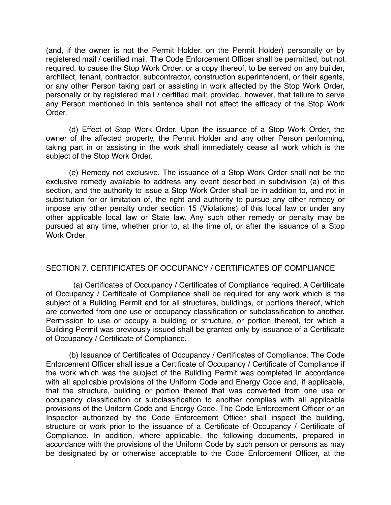(and, if the owner is not the Permit Holder, on the Permit Holder) personally or by registered mail / certified mail. The Code Enforcement Officer shall be permitted, but not required, to cause the Stop Work Order, or a copy thereof, to be served on any builder, architect, tenant, contractor, subcontractor, construction superintendent, or their agents, or any other Person taking part or assisting in work affected by the Stop Work Order, personally or by registered mail / certified mail; provided, however, that failure to serve any Person mentioned in this sentence shall not affect the efficacy of the Stop Work Order.

 (d) Effect of Stop Work Order. Upon the issuance of a Stop Work Order, the owner of the affected property, the Permit Holder and any other Person performing, taking part in or assisting in the work shall immediately cease all work which is the subject of the Stop Work Order.

 (e) Remedy not exclusive. The issuance of a Stop Work Order shall not be the exclusive remedy available to address any event described in subdivision (a) of this section, and the authority to issue a Stop Work Order shall be in addition to, and not in substitution for or limitation of, the right and authority to pursue any other remedy or impose any other penalty under section 15 (Violations) of this local law or under any other applicable local law or State law. Any such other remedy or penalty may be pursued at any time, whether prior to, at the time of, or after the issuance of a Stop Work Order.

# SECTION 7. CERTIFICATES OF OCCUPANCY / CERTIFICATES OF COMPLIANCE

(a) Certificates of Occupancy / Certificates of Compliance required. A Certificate of Occupancy / Certificate of Compliance shall be required for any work which is the subject of a Building Permit and for all structures, buildings, or portions thereof, which are converted from one use or occupancy classification or subclassification to another. Permission to use or occupy a building or structure, or portion thereof, for which a Building Permit was previously issued shall be granted only by issuance of a Certificate of Occupancy / Certificate of Compliance.

(b) Issuance of Certificates of Occupancy / Certificates of Compliance. The Code Enforcement Officer shall issue a Certificate of Occupancy / Certificate of Compliance if the work which was the subject of the Building Permit was completed in accordance with all applicable provisions of the Uniform Code and Energy Code and, if applicable, that the structure, building or portion thereof that was converted from one use or occupancy classification or subclassification to another complies with all applicable provisions of the Uniform Code and Energy Code. The Code Enforcement Officer or an Inspector authorized by the Code Enforcement Officer shall inspect the building, structure or work prior to the issuance of a Certificate of Occupancy / Certificate of Compliance. In addition, where applicable, the following documents, prepared in accordance with the provisions of the Uniform Code by such person or persons as may be designated by or otherwise acceptable to the Code Enforcement Officer, at the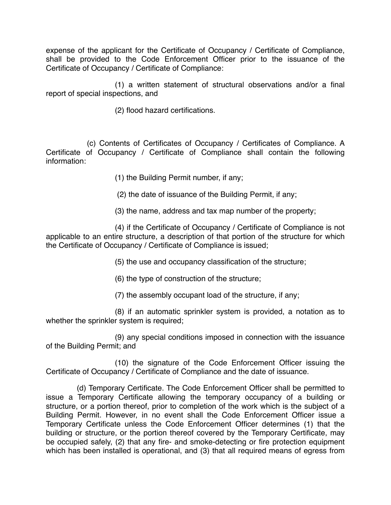expense of the applicant for the Certificate of Occupancy / Certificate of Compliance, shall be provided to the Code Enforcement Officer prior to the issuance of the Certificate of Occupancy / Certificate of Compliance:

 (1) a written statement of structural observations and/or a final report of special inspections, and

(2) flood hazard certifications.

(c) Contents of Certificates of Occupancy / Certificates of Compliance. A Certificate of Occupancy / Certificate of Compliance shall contain the following information:

(1) the Building Permit number, if any;

(2) the date of issuance of the Building Permit, if any;

(3) the name, address and tax map number of the property;

 (4) if the Certificate of Occupancy / Certificate of Compliance is not applicable to an entire structure, a description of that portion of the structure for which the Certificate of Occupancy / Certificate of Compliance is issued;

(5) the use and occupancy classification of the structure;

(6) the type of construction of the structure;

(7) the assembly occupant load of the structure, if any;

 (8) if an automatic sprinkler system is provided, a notation as to whether the sprinkler system is required;

 (9) any special conditions imposed in connection with the issuance of the Building Permit; and

 (10) the signature of the Code Enforcement Officer issuing the Certificate of Occupancy / Certificate of Compliance and the date of issuance.

(d) Temporary Certificate. The Code Enforcement Officer shall be permitted to issue a Temporary Certificate allowing the temporary occupancy of a building or structure, or a portion thereof, prior to completion of the work which is the subject of a Building Permit. However, in no event shall the Code Enforcement Officer issue a Temporary Certificate unless the Code Enforcement Officer determines (1) that the building or structure, or the portion thereof covered by the Temporary Certificate, may be occupied safely, (2) that any fire- and smoke-detecting or fire protection equipment which has been installed is operational, and (3) that all required means of egress from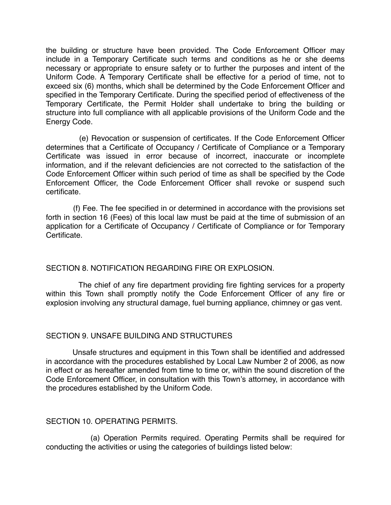the building or structure have been provided. The Code Enforcement Officer may include in a Temporary Certificate such terms and conditions as he or she deems necessary or appropriate to ensure safety or to further the purposes and intent of the Uniform Code. A Temporary Certificate shall be effective for a period of time, not to exceed six (6) months, which shall be determined by the Code Enforcement Officer and specified in the Temporary Certificate. During the specified period of effectiveness of the Temporary Certificate, the Permit Holder shall undertake to bring the building or structure into full compliance with all applicable provisions of the Uniform Code and the Energy Code.

(e) Revocation or suspension of certificates. If the Code Enforcement Officer determines that a Certificate of Occupancy / Certificate of Compliance or a Temporary Certificate was issued in error because of incorrect, inaccurate or incomplete information, and if the relevant deficiencies are not corrected to the satisfaction of the Code Enforcement Officer within such period of time as shall be specified by the Code Enforcement Officer, the Code Enforcement Officer shall revoke or suspend such certificate.

(f) Fee. The fee specified in or determined in accordance with the provisions set forth in section 16 (Fees) of this local law must be paid at the time of submission of an application for a Certificate of Occupancy / Certificate of Compliance or for Temporary Certificate.

# SECTION 8. NOTIFICATION REGARDING FIRE OR EXPLOSION.

The chief of any fire department providing fire fighting services for a property within this Town shall promptly notify the Code Enforcement Officer of any fire or explosion involving any structural damage, fuel burning appliance, chimney or gas vent.

## SECTION 9. UNSAFE BUILDING AND STRUCTURES

Unsafe structures and equipment in this Town shall be identified and addressed in accordance with the procedures established by Local Law Number 2 of 2006, as now in effect or as hereafter amended from time to time or, within the sound discretion of the Code Enforcement Officer, in consultation with this Town's attorney, in accordance with the procedures established by the Uniform Code.

## SECTION 10. OPERATING PERMITS.

(a) Operation Permits required. Operating Permits shall be required for conducting the activities or using the categories of buildings listed below: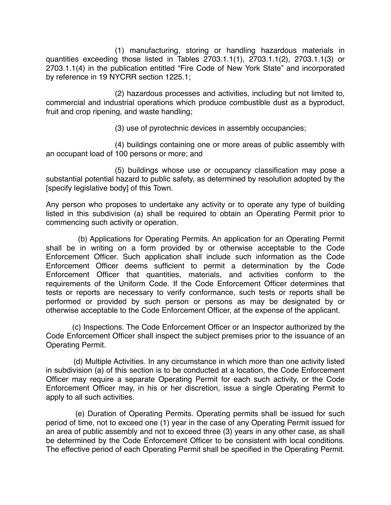(1) manufacturing, storing or handling hazardous materials in quantities exceeding those listed in Tables 2703.1.1(1), 2703.1.1(2), 2703.1.1(3) or 2703.1.1(4) in the publication entitled "Fire Code of New York State" and incorporated by reference in 19 NYCRR section 1225.1;

 (2) hazardous processes and activities, including but not limited to, commercial and industrial operations which produce combustible dust as a byproduct, fruit and crop ripening, and waste handling;

(3) use of pyrotechnic devices in assembly occupancies;

 (4) buildings containing one or more areas of public assembly with an occupant load of 100 persons or more; and

 (5) buildings whose use or occupancy classification may pose a substantial potential hazard to public safety, as determined by resolution adopted by the [specify legislative body] of this Town.

Any person who proposes to undertake any activity or to operate any type of building listed in this subdivision (a) shall be required to obtain an Operating Permit prior to commencing such activity or operation.

(b) Applications for Operating Permits. An application for an Operating Permit shall be in writing on a form provided by or otherwise acceptable to the Code Enforcement Officer. Such application shall include such information as the Code Enforcement Officer deems sufficient to permit a determination by the Code Enforcement Officer that quantities, materials, and activities conform to the requirements of the Uniform Code. If the Code Enforcement Officer determines that tests or reports are necessary to verify conformance, such tests or reports shall be performed or provided by such person or persons as may be designated by or otherwise acceptable to the Code Enforcement Officer, at the expense of the applicant.

(c) Inspections. The Code Enforcement Officer or an Inspector authorized by the Code Enforcement Officer shall inspect the subject premises prior to the issuance of an Operating Permit.

(d) Multiple Activities. In any circumstance in which more than one activity listed in subdivision (a) of this section is to be conducted at a location, the Code Enforcement Officer may require a separate Operating Permit for each such activity, or the Code Enforcement Officer may, in his or her discretion, issue a single Operating Permit to apply to all such activities.

(e) Duration of Operating Permits. Operating permits shall be issued for such period of time, not to exceed one (1) year in the case of any Operating Permit issued for an area of public assembly and not to exceed three (3) years in any other case, as shall be determined by the Code Enforcement Officer to be consistent with local conditions. The effective period of each Operating Permit shall be specified in the Operating Permit.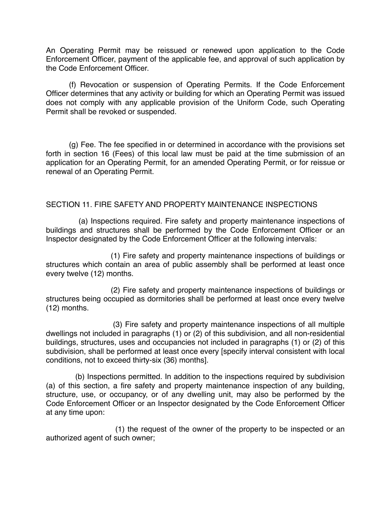An Operating Permit may be reissued or renewed upon application to the Code Enforcement Officer, payment of the applicable fee, and approval of such application by the Code Enforcement Officer.

 (f) Revocation or suspension of Operating Permits. If the Code Enforcement Officer determines that any activity or building for which an Operating Permit was issued does not comply with any applicable provision of the Uniform Code, such Operating Permit shall be revoked or suspended.

 (g) Fee. The fee specified in or determined in accordance with the provisions set forth in section 16 (Fees) of this local law must be paid at the time submission of an application for an Operating Permit, for an amended Operating Permit, or for reissue or renewal of an Operating Permit.

## SECTION 11. FIRE SAFETY AND PROPERTY MAINTENANCE INSPECTIONS

(a) Inspections required. Fire safety and property maintenance inspections of buildings and structures shall be performed by the Code Enforcement Officer or an Inspector designated by the Code Enforcement Officer at the following intervals:

(1) Fire safety and property maintenance inspections of buildings or structures which contain an area of public assembly shall be performed at least once every twelve (12) months.

(2) Fire safety and property maintenance inspections of buildings or structures being occupied as dormitories shall be performed at least once every twelve (12) months.

(3) Fire safety and property maintenance inspections of all multiple dwellings not included in paragraphs (1) or (2) of this subdivision, and all non-residential buildings, structures, uses and occupancies not included in paragraphs (1) or (2) of this subdivision, shall be performed at least once every [specify interval consistent with local conditions, not to exceed thirty-six (36) months].

(b) Inspections permitted. In addition to the inspections required by subdivision (a) of this section, a fire safety and property maintenance inspection of any building, structure, use, or occupancy, or of any dwelling unit, may also be performed by the Code Enforcement Officer or an Inspector designated by the Code Enforcement Officer at any time upon:

(1) the request of the owner of the property to be inspected or an authorized agent of such owner;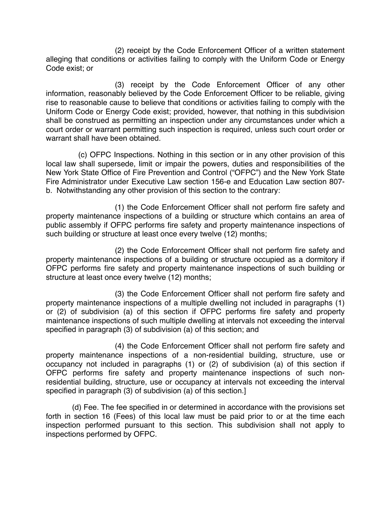(2) receipt by the Code Enforcement Officer of a written statement alleging that conditions or activities failing to comply with the Uniform Code or Energy Code exist; or

 (3) receipt by the Code Enforcement Officer of any other information, reasonably believed by the Code Enforcement Officer to be reliable, giving rise to reasonable cause to believe that conditions or activities failing to comply with the Uniform Code or Energy Code exist; provided, however, that nothing in this subdivision shall be construed as permitting an inspection under any circumstances under which a court order or warrant permitting such inspection is required, unless such court order or warrant shall have been obtained.

(c) OFPC Inspections. Nothing in this section or in any other provision of this local law shall supersede, limit or impair the powers, duties and responsibilities of the New York State Office of Fire Prevention and Control ("OFPC") and the New York State Fire Administrator under Executive Law section 156-e and Education Law section 807 b. Notwithstanding any other provision of this section to the contrary:

(1) the Code Enforcement Officer shall not perform fire safety and property maintenance inspections of a building or structure which contains an area of public assembly if OFPC performs fire safety and property maintenance inspections of such building or structure at least once every twelve (12) months;

(2) the Code Enforcement Officer shall not perform fire safety and property maintenance inspections of a building or structure occupied as a dormitory if OFPC performs fire safety and property maintenance inspections of such building or structure at least once every twelve (12) months;

(3) the Code Enforcement Officer shall not perform fire safety and property maintenance inspections of a multiple dwelling not included in paragraphs (1) or (2) of subdivision (a) of this section if OFPC performs fire safety and property maintenance inspections of such multiple dwelling at intervals not exceeding the interval specified in paragraph (3) of subdivision (a) of this section; and

(4) the Code Enforcement Officer shall not perform fire safety and property maintenance inspections of a non-residential building, structure, use or occupancy not included in paragraphs (1) or (2) of subdivision (a) of this section if OFPC performs fire safety and property maintenance inspections of such nonresidential building, structure, use or occupancy at intervals not exceeding the interval specified in paragraph (3) of subdivision (a) of this section.]

(d) Fee. The fee specified in or determined in accordance with the provisions set forth in section 16 (Fees) of this local law must be paid prior to or at the time each inspection performed pursuant to this section. This subdivision shall not apply to inspections performed by OFPC.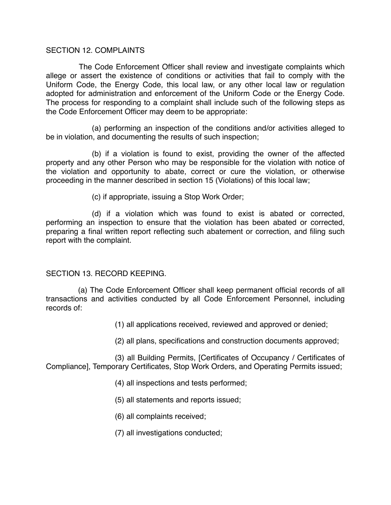#### SECTION 12. COMPLAINTS

The Code Enforcement Officer shall review and investigate complaints which allege or assert the existence of conditions or activities that fail to comply with the Uniform Code, the Energy Code, this local law, or any other local law or regulation adopted for administration and enforcement of the Uniform Code or the Energy Code. The process for responding to a complaint shall include such of the following steps as the Code Enforcement Officer may deem to be appropriate:

 (a) performing an inspection of the conditions and/or activities alleged to be in violation, and documenting the results of such inspection;

 (b) if a violation is found to exist, providing the owner of the affected property and any other Person who may be responsible for the violation with notice of the violation and opportunity to abate, correct or cure the violation, or otherwise proceeding in the manner described in section 15 (Violations) of this local law;

(c) if appropriate, issuing a Stop Work Order;

 (d) if a violation which was found to exist is abated or corrected, performing an inspection to ensure that the violation has been abated or corrected, preparing a final written report reflecting such abatement or correction, and filing such report with the complaint.

## SECTION 13. RECORD KEEPING.

(a) The Code Enforcement Officer shall keep permanent official records of all transactions and activities conducted by all Code Enforcement Personnel, including records of:

(1) all applications received, reviewed and approved or denied;

(2) all plans, specifications and construction documents approved;

 (3) all Building Permits, [Certificates of Occupancy / Certificates of Compliance], Temporary Certificates, Stop Work Orders, and Operating Permits issued;

- (4) all inspections and tests performed;
- (5) all statements and reports issued;
- (6) all complaints received;
- (7) all investigations conducted;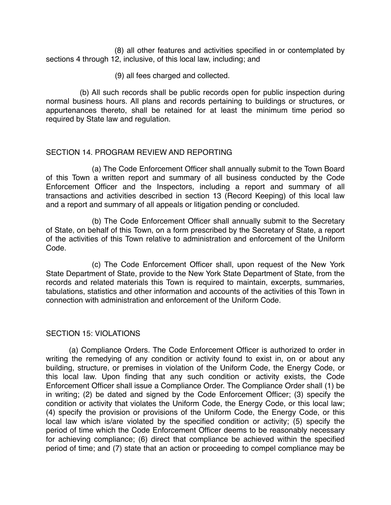(8) all other features and activities specified in or contemplated by sections 4 through 12, inclusive, of this local law, including; and

(9) all fees charged and collected.

(b) All such records shall be public records open for public inspection during normal business hours. All plans and records pertaining to buildings or structures, or appurtenances thereto, shall be retained for at least the minimum time period so required by State law and regulation.

## SECTION 14. PROGRAM REVIEW AND REPORTING

 (a) The Code Enforcement Officer shall annually submit to the Town Board of this Town a written report and summary of all business conducted by the Code Enforcement Officer and the Inspectors, including a report and summary of all transactions and activities described in section 13 (Record Keeping) of this local law and a report and summary of all appeals or litigation pending or concluded.

 (b) The Code Enforcement Officer shall annually submit to the Secretary of State, on behalf of this Town, on a form prescribed by the Secretary of State, a report of the activities of this Town relative to administration and enforcement of the Uniform Code.

 (c) The Code Enforcement Officer shall, upon request of the New York State Department of State, provide to the New York State Department of State, from the records and related materials this Town is required to maintain, excerpts, summaries, tabulations, statistics and other information and accounts of the activities of this Town in connection with administration and enforcement of the Uniform Code.

## SECTION 15: VIOLATIONS

 (a) Compliance Orders. The Code Enforcement Officer is authorized to order in writing the remedying of any condition or activity found to exist in, on or about any building, structure, or premises in violation of the Uniform Code, the Energy Code, or this local law. Upon finding that any such condition or activity exists, the Code Enforcement Officer shall issue a Compliance Order. The Compliance Order shall (1) be in writing; (2) be dated and signed by the Code Enforcement Officer; (3) specify the condition or activity that violates the Uniform Code, the Energy Code, or this local law; (4) specify the provision or provisions of the Uniform Code, the Energy Code, or this local law which is/are violated by the specified condition or activity; (5) specify the period of time which the Code Enforcement Officer deems to be reasonably necessary for achieving compliance; (6) direct that compliance be achieved within the specified period of time; and (7) state that an action or proceeding to compel compliance may be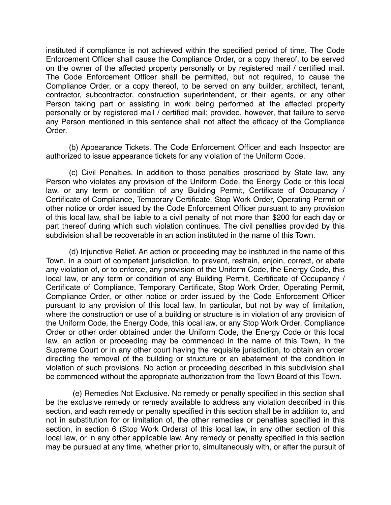instituted if compliance is not achieved within the specified period of time. The Code Enforcement Officer shall cause the Compliance Order, or a copy thereof, to be served on the owner of the affected property personally or by registered mail / certified mail. The Code Enforcement Officer shall be permitted, but not required, to cause the Compliance Order, or a copy thereof, to be served on any builder, architect, tenant, contractor, subcontractor, construction superintendent, or their agents, or any other Person taking part or assisting in work being performed at the affected property personally or by registered mail / certified mail; provided, however, that failure to serve any Person mentioned in this sentence shall not affect the efficacy of the Compliance Order.

 (b) Appearance Tickets. The Code Enforcement Officer and each Inspector are authorized to issue appearance tickets for any violation of the Uniform Code.

 (c) Civil Penalties. In addition to those penalties proscribed by State law, any Person who violates any provision of the Uniform Code, the Energy Code or this local law, or any term or condition of any Building Permit, Certificate of Occupancy / Certificate of Compliance, Temporary Certificate, Stop Work Order, Operating Permit or other notice or order issued by the Code Enforcement Officer pursuant to any provision of this local law, shall be liable to a civil penalty of not more than \$200 for each day or part thereof during which such violation continues. The civil penalties provided by this subdivision shall be recoverable in an action instituted in the name of this Town.

 (d) Injunctive Relief. An action or proceeding may be instituted in the name of this Town, in a court of competent jurisdiction, to prevent, restrain, enjoin, correct, or abate any violation of, or to enforce, any provision of the Uniform Code, the Energy Code, this local law, or any term or condition of any Building Permit, Certificate of Occupancy / Certificate of Compliance, Temporary Certificate, Stop Work Order, Operating Permit, Compliance Order, or other notice or order issued by the Code Enforcement Officer pursuant to any provision of this local law. In particular, but not by way of limitation, where the construction or use of a building or structure is in violation of any provision of the Uniform Code, the Energy Code, this local law, or any Stop Work Order, Compliance Order or other order obtained under the Uniform Code, the Energy Code or this local law, an action or proceeding may be commenced in the name of this Town, in the Supreme Court or in any other court having the requisite jurisdiction, to obtain an order directing the removal of the building or structure or an abatement of the condition in violation of such provisions. No action or proceeding described in this subdivision shall be commenced without the appropriate authorization from the Town Board of this Town.

(e) Remedies Not Exclusive. No remedy or penalty specified in this section shall be the exclusive remedy or remedy available to address any violation described in this section, and each remedy or penalty specified in this section shall be in addition to, and not in substitution for or limitation of, the other remedies or penalties specified in this section, in section 6 (Stop Work Orders) of this local law, in any other section of this local law, or in any other applicable law. Any remedy or penalty specified in this section may be pursued at any time, whether prior to, simultaneously with, or after the pursuit of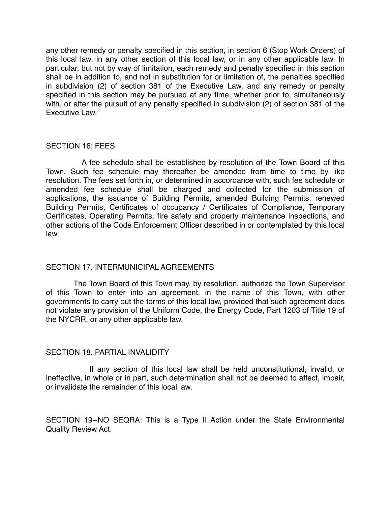any other remedy or penalty specified in this section, in section 6 (Stop Work Orders) of this local law, in any other section of this local law, or in any other applicable law. In particular, but not by way of limitation, each remedy and penalty specified in this section shall be in addition to, and not in substitution for or limitation of, the penalties specified in subdivision (2) of section 381 of the Executive Law, and any remedy or penalty specified in this section may be pursued at any time, whether prior to, simultaneously with, or after the pursuit of any penalty specified in subdivision (2) of section 381 of the Executive Law.

#### SECTION 16: FEES

A fee schedule shall be established by resolution of the Town Board of this Town. Such fee schedule may thereafter be amended from time to time by like resolution. The fees set forth in, or determined in accordance with, such fee schedule or amended fee schedule shall be charged and collected for the submission of applications, the issuance of Building Permits, amended Building Permits, renewed Building Permits, Certificates of occupancy / Certificates of Compliance, Temporary Certificates, Operating Permits, fire safety and property maintenance inspections, and other actions of the Code Enforcement Officer described in or contemplated by this local law.

## SECTION 17. INTERMUNICIPAL AGREEMENTS

The Town Board of this Town may, by resolution, authorize the Town Supervisor of this Town to enter into an agreement, in the name of this Town, with other governments to carry out the terms of this local law, provided that such agreement does not violate any provision of the Uniform Code, the Energy Code, Part 1203 of Title 19 of the NYCRR, or any other applicable law.

## SECTION 18. PARTIAL INVALIDITY

If any section of this local law shall be held unconstitutional, invalid, or ineffective, in whole or in part, such determination shall not be deemed to affect, impair, or invalidate the remainder of this local law.

SECTION 19--NO SEQRA: This is a Type II Action under the State Environmental Quality Review Act.